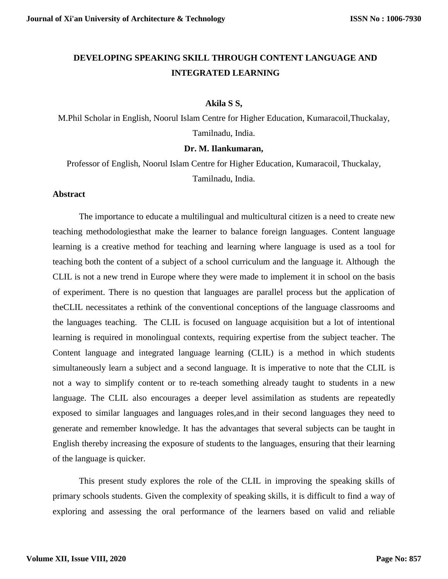# **DEVELOPING SPEAKING SKILL THROUGH CONTENT LANGUAGE AND INTEGRATED LEARNING**

#### **Akila S S,**

M.Phil Scholar in English, Noorul Islam Centre for Higher Education, Kumaracoil,Thuckalay, Tamilnadu, India.

#### **Dr. M. Ilankumaran,**

Professor of English, Noorul Islam Centre for Higher Education, Kumaracoil, Thuckalay, Tamilnadu, India.

# **Abstract**

The importance to educate a multilingual and multicultural citizen is a need to create new teaching methodologiesthat make the learner to balance foreign languages. Content language learning is a creative method for teaching and learning where language is used as a tool for teaching both the content of a subject of a school curriculum and the language it. Although the CLIL is not a new trend in Europe where they were made to implement it in school on the basis of experiment. There is no question that languages are parallel process but the application of theCLIL necessitates a rethink of the conventional conceptions of the language classrooms and the languages teaching. The CLIL is focused on language acquisition but a lot of intentional learning is required in monolingual contexts, requiring expertise from the subject teacher. The Content language and integrated language learning (CLIL) is a method in which students simultaneously learn a subject and a second language. It is imperative to note that the CLIL is not a way to simplify content or to re-teach something already taught to students in a new language. The CLIL also encourages a deeper level assimilation as students are repeatedly exposed to similar languages and languages roles,and in their second languages they need to generate and remember knowledge. It has the advantages that several subjects can be taught in English thereby increasing the exposure of students to the languages, ensuring that their learning of the language is quicker.

This present study explores the role of the CLIL in improving the speaking skills of primary schools students. Given the complexity of speaking skills, it is difficult to find a way of exploring and assessing the oral performance of the learners based on valid and reliable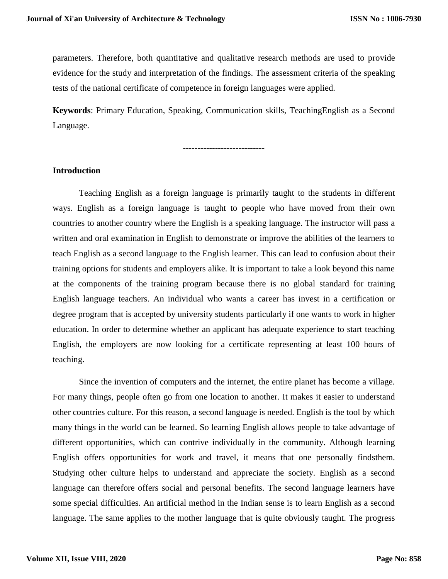parameters. Therefore, both quantitative and qualitative research methods are used to provide evidence for the study and interpretation of the findings. The assessment criteria of the speaking tests of the national certificate of competence in foreign languages were applied.

**Keywords**: Primary Education, Speaking, Communication skills, TeachingEnglish as a Second Language.

#### **Introduction**

Teaching English as a foreign language is primarily taught to the students in different ways. English as a foreign language is taught to people who have moved from their own countries to another country where the English is a speaking language. The instructor will pass a written and oral examination in English to demonstrate or improve the abilities of the learners to teach English as a second language to the English learner. This can lead to confusion about their training options for students and employers alike. It is important to take a look beyond this name at the components of the training program because there is no global standard for training English language teachers. An individual who wants a career has invest in a certification or degree program that is accepted by university students particularly if one wants to work in higher education. In order to determine whether an applicant has adequate experience to start teaching English, the employers are now looking for a certificate representing at least 100 hours of teaching.

Since the invention of computers and the internet, the entire planet has become a village. For many things, people often go from one location to another. It makes it easier to understand other countries culture. For this reason, a second language is needed. English is the tool by which many things in the world can be learned. So learning English allows people to take advantage of different opportunities, which can contrive individually in the community. Although learning English offers opportunities for work and travel, it means that one personally findsthem. Studying other culture helps to understand and appreciate the society. English as a second language can therefore offers social and personal benefits. The second language learners have some special difficulties. An artificial method in the Indian sense is to learn English as a second language. The same applies to the mother language that is quite obviously taught. The progress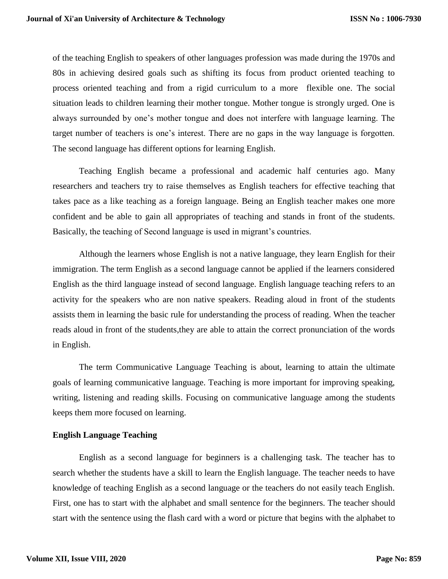of the teaching English to speakers of other languages profession was made during the 1970s and 80s in achieving desired goals such as shifting its focus from product oriented teaching to process oriented teaching and from a rigid curriculum to a more flexible one. The social situation leads to children learning their mother tongue. Mother tongue is strongly urged. One is always surrounded by one's mother tongue and does not interfere with language learning. The target number of teachers is one's interest. There are no gaps in the way language is forgotten. The second language has different options for learning English.

Teaching English became a professional and academic half centuries ago. Many researchers and teachers try to raise themselves as English teachers for effective teaching that takes pace as a like teaching as a foreign language. Being an English teacher makes one more confident and be able to gain all appropriates of teaching and stands in front of the students. Basically, the teaching of Second language is used in migrant's countries.

Although the learners whose English is not a native language, they learn English for their immigration. The term English as a second language cannot be applied if the learners considered English as the third language instead of second language. English language teaching refers to an activity for the speakers who are non native speakers. Reading aloud in front of the students assists them in learning the basic rule for understanding the process of reading. When the teacher reads aloud in front of the students,they are able to attain the correct pronunciation of the words in English.

The term Communicative Language Teaching is about, learning to attain the ultimate goals of learning communicative language. Teaching is more important for improving speaking, writing, listening and reading skills. Focusing on communicative language among the students keeps them more focused on learning.

#### **English Language Teaching**

English as a second language for beginners is a challenging task. The teacher has to search whether the students have a skill to learn the English language. The teacher needs to have knowledge of teaching English as a second language or the teachers do not easily teach English. First, one has to start with the alphabet and small sentence for the beginners. The teacher should start with the sentence using the flash card with a word or picture that begins with the alphabet to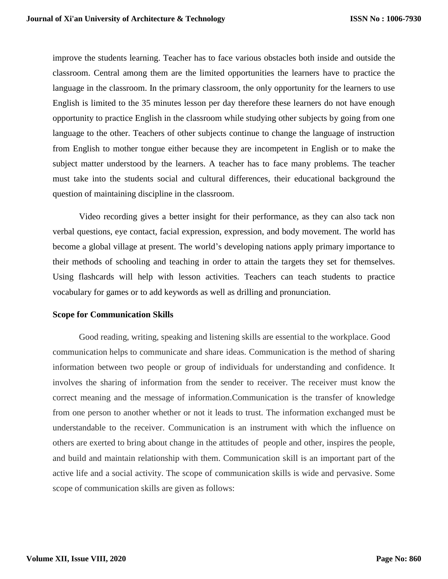improve the students learning. Teacher has to face various obstacles both inside and outside the classroom. Central among them are the limited opportunities the learners have to practice the language in the classroom. In the primary classroom, the only opportunity for the learners to use English is limited to the 35 minutes lesson per day therefore these learners do not have enough opportunity to practice English in the classroom while studying other subjects by going from one language to the other. Teachers of other subjects continue to change the language of instruction from English to mother tongue either because they are incompetent in English or to make the subject matter understood by the learners. A teacher has to face many problems. The teacher must take into the students social and cultural differences, their educational background the question of maintaining discipline in the classroom.

Video recording gives a better insight for their performance, as they can also tack non verbal questions, eye contact, facial expression, expression, and body movement. The world has become a global village at present. The world's developing nations apply primary importance to their methods of schooling and teaching in order to attain the targets they set for themselves. Using flashcards will help with lesson activities. Teachers can teach students to practice vocabulary for games or to add keywords as well as drilling and pronunciation.

#### **Scope for Communication Skills**

Good reading, writing, speaking and listening skills are essential to the workplace. Good communication helps to communicate and share ideas. Communication is the method of sharing information between two people or group of individuals for understanding and confidence. It involves the sharing of information from the sender to receiver. The receiver must know the correct meaning and the message of information.Communication is the transfer of knowledge from one person to another whether or not it leads to trust. The information exchanged must be understandable to the receiver. Communication is an instrument with which the influence on others are exerted to bring about change in the attitudes of people and other, inspires the people, and build and maintain relationship with them. Communication skill is an important part of the active life and a social activity. The scope of communication skills is wide and pervasive. Some scope of communication skills are given as follows: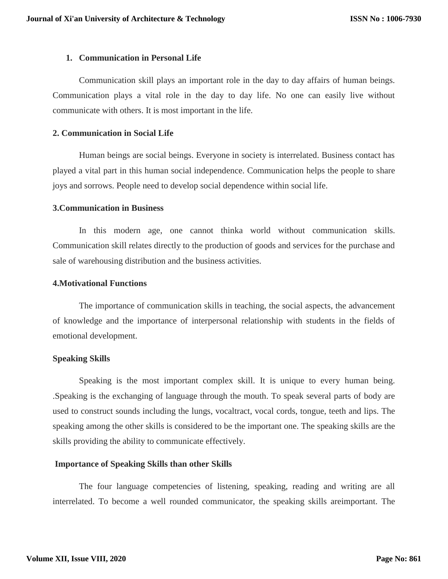## **1. Communication in Personal Life**

Communication skill plays an important role in the day to day affairs of human beings. Communication plays a vital role in the day to day life. No one can easily live without communicate with others. It is most important in the life.

## **2. Communication in Social Life**

Human beings are social beings. Everyone in society is interrelated. Business contact has played a vital part in this human social independence. Communication helps the people to share joys and sorrows. People need to develop social dependence within social life.

#### **3.Communication in Business**

In this modern age, one cannot thinka world without communication skills. Communication skill relates directly to the production of goods and services for the purchase and sale of warehousing distribution and the business activities.

# **4.Motivational Functions**

The importance of communication skills in teaching, the social aspects, the advancement of knowledge and the importance of interpersonal relationship with students in the fields of emotional development.

# **Speaking Skills**

Speaking is the most important complex skill. It is unique to every human being. .Speaking is the exchanging of language through the mouth. To speak several parts of body are used to construct sounds including the lungs, vocaltract, vocal cords, tongue, teeth and lips. The speaking among the other skills is considered to be the important one. The speaking skills are the skills providing the ability to communicate effectively.

#### **Importance of Speaking Skills than other Skills**

The four language competencies of listening, speaking, reading and writing are all interrelated. To become a well rounded communicator, the speaking skills areimportant. The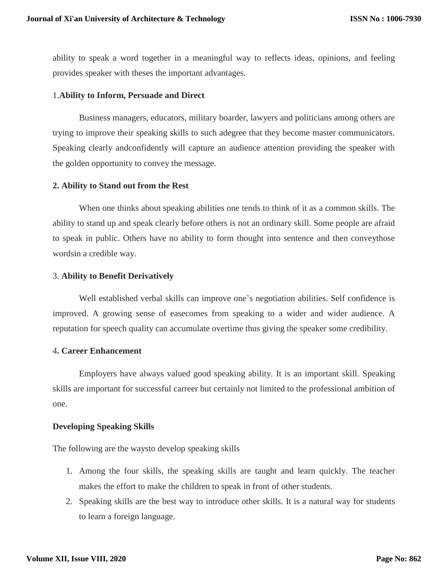ability to speak a word together in a meaningful way to reflects ideas, opinions, and feeling provides speaker with theses the important advantages.

## 1.**Ability to Inform, Persuade and Direct**

Business managers, educators, military boarder, lawyers and politicians among others are trying to improve their speaking skills to such adegree that they become master communicators. Speaking clearly andconfidently will capture an audience attention providing the speaker with the golden opportunity to convey the message.

#### **2. Ability to Stand out from the Rest**

When one thinks about speaking abilities one tends to think of it as a common skills. The ability to stand up and speak clearly before others is not an ordinary skill. Some people are afraid to speak in public. Others have no ability to form thought into sentence and then conveythose wordsin a credible way.

## 3. **Ability to Benefit Derivatively**

Well established verbal skills can improve one's negotiation abilities. Self confidence is improved. A growing sense of easecomes from speaking to a wider and wider audience. A reputation for speech quality can accumulate overtime thus giving the speaker some credibility.

#### 4**. Career Enhancement**

Employers have always valued good speaking ability. It is an important skill. Speaking skills are important for successful carreer but certainly not limited to the professional ambition of one.

#### **Developing Speaking Skills**

The following are the waysto develop speaking skills

- 1. Among the four skills, the speaking skills are taught and learn quickly. The teacher makes the effort to make the children to speak in front of other students.
- 2. Speaking skills are the best way to introduce other skills. It is a natural way for students to learn a foreign language.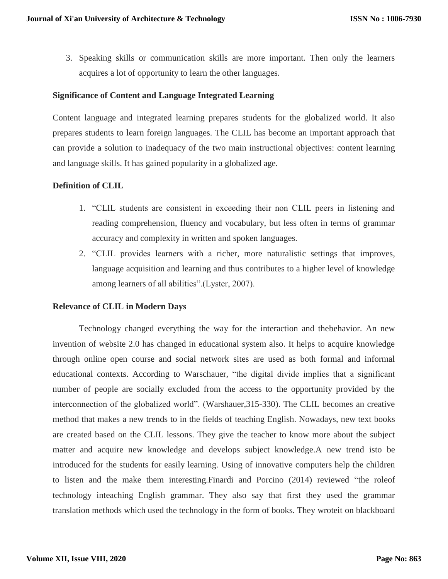3. Speaking skills or communication skills are more important. Then only the learners acquires a lot of opportunity to learn the other languages.

# **Significance of Content and Language Integrated Learning**

Content language and integrated learning prepares students for the globalized world. It also prepares students to learn foreign languages. The CLIL has become an important approach that can provide a solution to inadequacy of the two main instructional objectives: content learning and language skills. It has gained popularity in a globalized age.

## **Definition of CLIL**

- 1. "CLIL students are consistent in exceeding their non CLIL peers in listening and reading comprehension, fluency and vocabulary, but less often in terms of grammar accuracy and complexity in written and spoken languages.
- 2. "CLIL provides learners with a richer, more naturalistic settings that improves, language acquisition and learning and thus contributes to a higher level of knowledge among learners of all abilities".(Lyster, 2007).

#### **Relevance of CLIL in Modern Days**

Technology changed everything the way for the interaction and thebehavior. An new invention of website 2.0 has changed in educational system also. It helps to acquire knowledge through online open course and social network sites are used as both formal and informal educational contexts. According to Warschauer, "the digital divide implies that a significant number of people are socially excluded from the access to the opportunity provided by the interconnection of the globalized world". (Warshauer,315-330). The CLIL becomes an creative method that makes a new trends to in the fields of teaching English. Nowadays, new text books are created based on the CLIL lessons. They give the teacher to know more about the subject matter and acquire new knowledge and develops subject knowledge.A new trend isto be introduced for the students for easily learning. Using of innovative computers help the children to listen and the make them interesting.Finardi and Porcino (2014) reviewed "the roleof technology inteaching English grammar. They also say that first they used the grammar translation methods which used the technology in the form of books. They wroteit on blackboard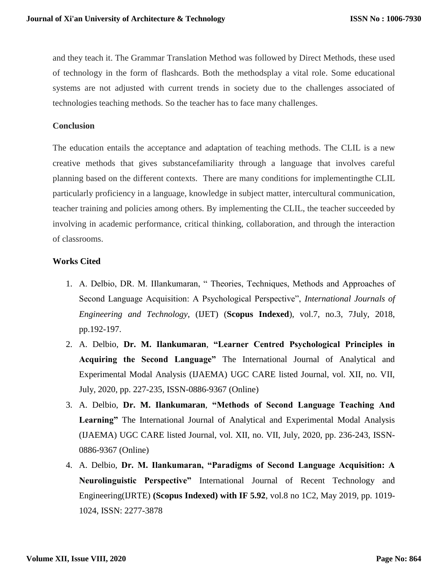and they teach it. The Grammar Translation Method was followed by Direct Methods, these used of technology in the form of flashcards. Both the methodsplay a vital role. Some educational systems are not adjusted with current trends in society due to the challenges associated of technologies teaching methods. So the teacher has to face many challenges.

# **Conclusion**

The education entails the acceptance and adaptation of teaching methods. The CLIL is a new creative methods that gives substancefamiliarity through a language that involves careful planning based on the different contexts. There are many conditions for implementingthe CLIL particularly proficiency in a language, knowledge in subject matter, intercultural communication, teacher training and policies among others. By implementing the CLIL, the teacher succeeded by involving in academic performance, critical thinking, collaboration, and through the interaction of classrooms.

# **Works Cited**

- 1. A. Delbio, DR. M. IIlankumaran, " Theories, Techniques, Methods and Approaches of Second Language Acquisition: A Psychological Perspective", *International Journals of Engineering and Technology*, (IJET) (**Scopus Indexed**), vol.7, no.3, 7July, 2018, pp.192-197.
- 2. A. Delbio, **Dr. M. Ilankumaran**, **"Learner Centred Psychological Principles in Acquiring the Second Language"** The International Journal of Analytical and Experimental Modal Analysis (IJAEMA) UGC CARE listed Journal, vol. XII, no. VII, July, 2020, pp. 227-235, ISSN-0886-9367 (Online)
- 3. A. Delbio, **Dr. M. Ilankumaran**, **"Methods of Second Language Teaching And Learning"** The International Journal of Analytical and Experimental Modal Analysis (IJAEMA) UGC CARE listed Journal, vol. XII, no. VII, July, 2020, pp. 236-243, ISSN-0886-9367 (Online)
- 4. A. Delbio, **Dr. M. Ilankumaran, "Paradigms of Second Language Acquisition: A Neurolinguistic Perspective"** International Journal of Recent Technology and Engineering(IJRTE) **(Scopus Indexed) with IF 5.92**, vol.8 no 1C2, May 2019, pp. 1019- 1024, ISSN: 2277-3878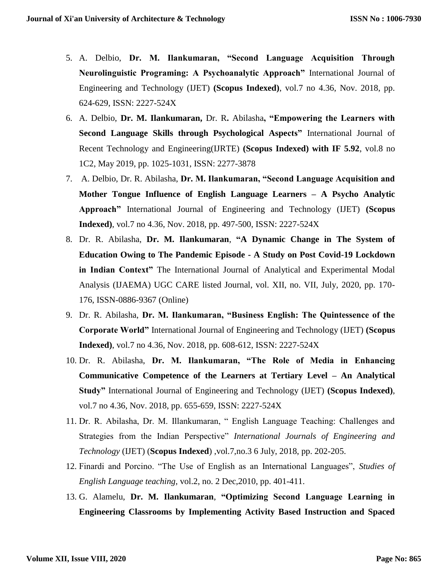- 5. A. Delbio, **Dr. M. Ilankumaran, "Second Language Acquisition Through Neurolinguistic Programing: A Psychoanalytic Approach"** International Journal of Engineering and Technology (IJET) **(Scopus Indexed)**, vol.7 no 4.36, Nov. 2018, pp. 624-629, ISSN: 2227-524X
- 6. A. Delbio, **Dr. M. Ilankumaran,** Dr. R**.** Abilasha**, "Empowering the Learners with Second Language Skills through Psychological Aspects"** International Journal of Recent Technology and Engineering(IJRTE) **(Scopus Indexed) with IF 5.92**, vol.8 no 1C2, May 2019, pp. 1025-1031, ISSN: 2277-3878
- 7. A. Delbio, Dr. R. Abilasha, **Dr. M. Ilankumaran, "Second Language Acquisition and Mother Tongue Influence of English Language Learners – A Psycho Analytic Approach"** International Journal of Engineering and Technology (IJET) **(Scopus Indexed)**, vol.7 no 4.36, Nov. 2018, pp. 497-500, ISSN: 2227-524X
- 8. Dr. R. Abilasha, **Dr. M. Ilankumaran**, **"A Dynamic Change in The System of Education Owing to The Pandemic Episode - A Study on Post Covid-19 Lockdown in Indian Context"** The International Journal of Analytical and Experimental Modal Analysis (IJAEMA) UGC CARE listed Journal, vol. XII, no. VII, July, 2020, pp. 170- 176, ISSN-0886-9367 (Online)
- 9. Dr. R. Abilasha, **Dr. M. Ilankumaran, "Business English: The Quintessence of the Corporate World"** International Journal of Engineering and Technology (IJET) **(Scopus Indexed)**, vol.7 no 4.36, Nov. 2018, pp. 608-612, ISSN: 2227-524X
- 10. Dr. R. Abilasha, **Dr. M. Ilankumaran, "The Role of Media in Enhancing Communicative Competence of the Learners at Tertiary Level – An Analytical Study"** International Journal of Engineering and Technology (IJET) **(Scopus Indexed)**, vol.7 no 4.36, Nov. 2018, pp. 655-659, ISSN: 2227-524X
- 11. Dr. R. Abilasha, Dr. M. Illankumaran, " English Language Teaching: Challenges and Strategies from the Indian Perspective" *International Journals of Engineering and Technology* (IJET) (**Scopus Indexed**) ,vol.7,no.3 6 July, 2018, pp. 202-205.
- 12. Finardi and Porcino. "The Use of English as an International Languages", *Studies of English Language teaching*, vol.2, no. 2 Dec,2010, pp. 401-411.
- 13. G. Alamelu, **Dr. M. Ilankumaran**, **"Optimizing Second Language Learning in Engineering Classrooms by Implementing Activity Based Instruction and Spaced**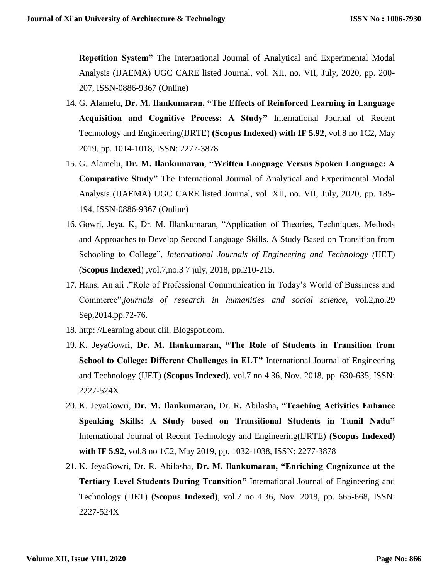**Repetition System"** The International Journal of Analytical and Experimental Modal Analysis (IJAEMA) UGC CARE listed Journal, vol. XII, no. VII, July, 2020, pp. 200- 207, ISSN-0886-9367 (Online)

- 14. G. Alamelu, **Dr. M. Ilankumaran, "The Effects of Reinforced Learning in Language Acquisition and Cognitive Process: A Study"** International Journal of Recent Technology and Engineering(IJRTE) **(Scopus Indexed) with IF 5.92**, vol.8 no 1C2, May 2019, pp. 1014-1018, ISSN: 2277-3878
- 15. G. Alamelu, **Dr. M. Ilankumaran**, **"Written Language Versus Spoken Language: A Comparative Study"** The International Journal of Analytical and Experimental Modal Analysis (IJAEMA) UGC CARE listed Journal, vol. XII, no. VII, July, 2020, pp. 185- 194, ISSN-0886-9367 (Online)
- 16. Gowri, Jeya. K, Dr. M. Illankumaran, "Application of Theories, Techniques, Methods and Approaches to Develop Second Language Skills. A Study Based on Transition from Schooling to College", *International Journals of Engineering and Technology (*IJET) (**Scopus Indexed**) ,vol.7,no.3 7 july, 2018, pp.210-215.
- 17. Hans, Anjali ."Role of Professional Communication in Today's World of Bussiness and Commerce",*journals of research in humanities and social science,* vol.2,no.29 Sep,2014.pp.72-76.
- 18. http: //Learning about clil. Blogspot.com.
- 19. K. JeyaGowri, **Dr. M. Ilankumaran, "The Role of Students in Transition from School to College: Different Challenges in ELT"** International Journal of Engineering and Technology (IJET) **(Scopus Indexed)**, vol.7 no 4.36, Nov. 2018, pp. 630-635, ISSN: 2227-524X
- 20. K. JeyaGowri, **Dr. M. Ilankumaran,** Dr. R**.** Abilasha**, "Teaching Activities Enhance Speaking Skills: A Study based on Transitional Students in Tamil Nadu"**  International Journal of Recent Technology and Engineering(IJRTE) **(Scopus Indexed) with IF 5.92**, vol.8 no 1C2, May 2019, pp. 1032-1038, ISSN: 2277-3878
- 21. K. JeyaGowri, Dr. R. Abilasha, **Dr. M. Ilankumaran, "Enriching Cognizance at the Tertiary Level Students During Transition"** International Journal of Engineering and Technology (IJET) **(Scopus Indexed)**, vol.7 no 4.36, Nov. 2018, pp. 665-668, ISSN: 2227-524X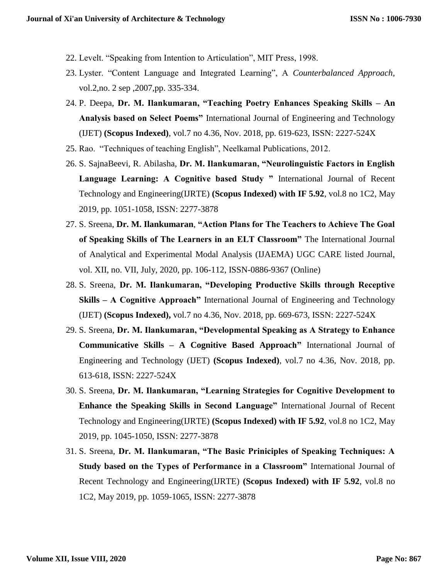- 22. Levelt. "Speaking from Intention to Articulation", MIT Press, 1998.
- 23. Lyster. "Content Language and Integrated Learning", A *Counterbalanced Approach,*  vol.2,no. 2 sep ,2007,pp. 335-334.
- 24. P. Deepa, **Dr. M. Ilankumaran, "Teaching Poetry Enhances Speaking Skills – An Analysis based on Select Poems"** International Journal of Engineering and Technology (IJET) **(Scopus Indexed)**, vol.7 no 4.36, Nov. 2018, pp. 619-623, ISSN: 2227-524X
- 25. Rao. "Techniques of teaching English", Neelkamal Publications, 2012.
- 26. S. SajnaBeevi, R. Abilasha, **Dr. M. Ilankumaran, "Neurolinguistic Factors in English Language Learning: A Cognitive based Study "** International Journal of Recent Technology and Engineering(IJRTE) **(Scopus Indexed) with IF 5.92**, vol.8 no 1C2, May 2019, pp. 1051-1058, ISSN: 2277-3878
- 27. S. Sreena, **Dr. M. Ilankumaran**, **"Action Plans for The Teachers to Achieve The Goal of Speaking Skills of The Learners in an ELT Classroom"** The International Journal of Analytical and Experimental Modal Analysis (IJAEMA) UGC CARE listed Journal, vol. XII, no. VII, July, 2020, pp. 106-112, ISSN-0886-9367 (Online)
- 28. S. Sreena, **Dr. M. Ilankumaran, "Developing Productive Skills through Receptive Skills – A Cognitive Approach"** International Journal of Engineering and Technology (IJET) **(Scopus Indexed),** vol.7 no 4.36, Nov. 2018, pp. 669-673, ISSN: 2227-524X
- 29. S. Sreena, **Dr. M. Ilankumaran, "Developmental Speaking as A Strategy to Enhance Communicative Skills – A Cognitive Based Approach"** International Journal of Engineering and Technology (IJET) **(Scopus Indexed)**, vol.7 no 4.36, Nov. 2018, pp. 613-618, ISSN: 2227-524X
- 30. S. Sreena, **Dr. M. Ilankumaran, "Learning Strategies for Cognitive Development to Enhance the Speaking Skills in Second Language"** International Journal of Recent Technology and Engineering(IJRTE) **(Scopus Indexed) with IF 5.92**, vol.8 no 1C2, May 2019, pp. 1045-1050, ISSN: 2277-3878
- 31. S. Sreena, **Dr. M. Ilankumaran, "The Basic Priniciples of Speaking Techniques: A Study based on the Types of Performance in a Classroom"** International Journal of Recent Technology and Engineering(IJRTE) **(Scopus Indexed) with IF 5.92**, vol.8 no 1C2, May 2019, pp. 1059-1065, ISSN: 2277-3878